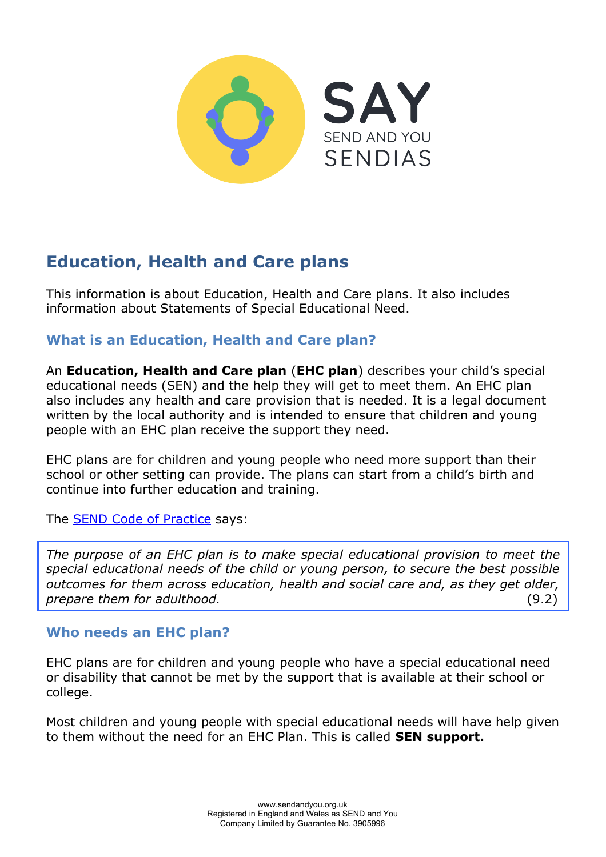

# **Education, Health and Care plans**

This information is about Education, Health and Care plans. It also includes information about Statements of Special Educational Need.

# **What is an Education, Health and Care plan?**

An **Education, Health and Care plan** (**EHC plan**) describes your child's special educational needs (SEN) and the help they will get to meet them. An EHC plan also includes any health and care provision that is needed. It is a legal document written by the local authority and is intended to ensure that children and young people with an EHC plan receive the support they need.

EHC plans are for children and young people who need more support than their school or other setting can provide. The plans can start from a child's birth and continue into further education and training.

The [SEND Code of Practice](https://www.gov.uk/government/publications/send-code-of-practice-0-to-25) says:

*The purpose of an EHC plan is to make special educational provision to meet the special educational needs of the child or young person, to secure the best possible outcomes for them across education, health and social care and, as they get older, prepare them for adulthood.* (9.2)

# **Who needs an EHC plan?**

EHC plans are for children and young people who have a special educational need or disability that cannot be met by the support that is available at their school or college.

Most children and young people with special educational needs will have help given to them without the need for an EHC Plan. This is called **SEN support.**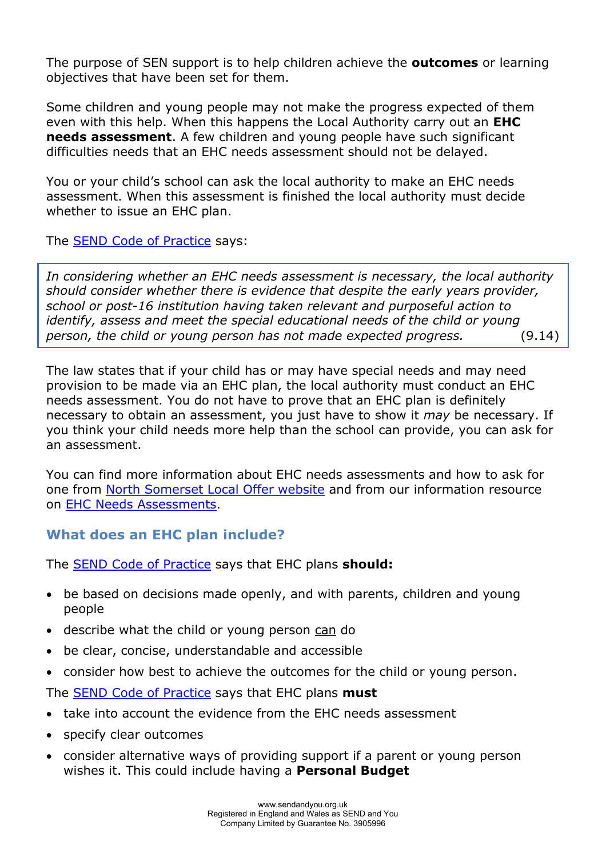The purpose of SEN support is to help children achieve the **outcomes** or learning objectives that have been set for them.

Some children and young people may not make the progress expected of them even with this help. When this happens the Local Authority carry out an **EHC needs assessment**. A few children and young people have such significant difficulties needs that an EHC needs assessment should not be delayed.

You or your child's school can ask the local authority to make an EHC needs assessment. When this assessment is finished the local authority must decide whether to issue an EHC plan.

The [SEND Code of Practice](https://www.gov.uk/government/publications/send-code-of-practice-0-to-25) says:

*In considering whether an EHC needs assessment is necessary, the local authority should consider whether there is evidence that despite the early years provider, school or post-16 institution having taken relevant and purposeful action to identify, assess and meet the special educational needs of the child or young person, the child or young person has not made expected progress.* (9.14)

The law states that if your child has or may have special needs and may need provision to be made via an EHC plan, the local authority must conduct an EHC needs assessment. You do not have to prove that an EHC plan is definitely necessary to obtain an assessment, you just have to show it *may* be necessary. If you think your child needs more help than the school can provide, you can ask for an assessment.

You can find more information about EHC needs assessments and how to ask for one from [North Somerset Local Offer website](https://northsomersetonlinedirectory.n-somerset.gov.uk/kb5/northsomerset/directory/localoffer.page?localofferchannel=0) and from our information resource on [EHC Needs Assessments.](https://www.sendandyou.org.uk/wp-content/uploads/2021/08/5-EHC-Assessments-North-Somerset-newlogo.pdf)

# **What does an EHC plan include?**

The [SEND Code of Practice](https://www.gov.uk/government/publications/send-code-of-practice-0-to-25) says that EHC plans **should:**

- be based on decisions made openly, and with parents, children and young people
- describe what the child or young person can do
- be clear, concise, understandable and accessible
- consider how best to achieve the outcomes for the child or young person.

The [SEND Code of Practice](https://www.gov.uk/government/publications/send-code-of-practice-0-to-25) says that EHC plans **must** 

- take into account the evidence from the EHC needs assessment
- specify clear outcomes
- consider alternative ways of providing support if a parent or young person wishes it. This could include having a **Personal Budget**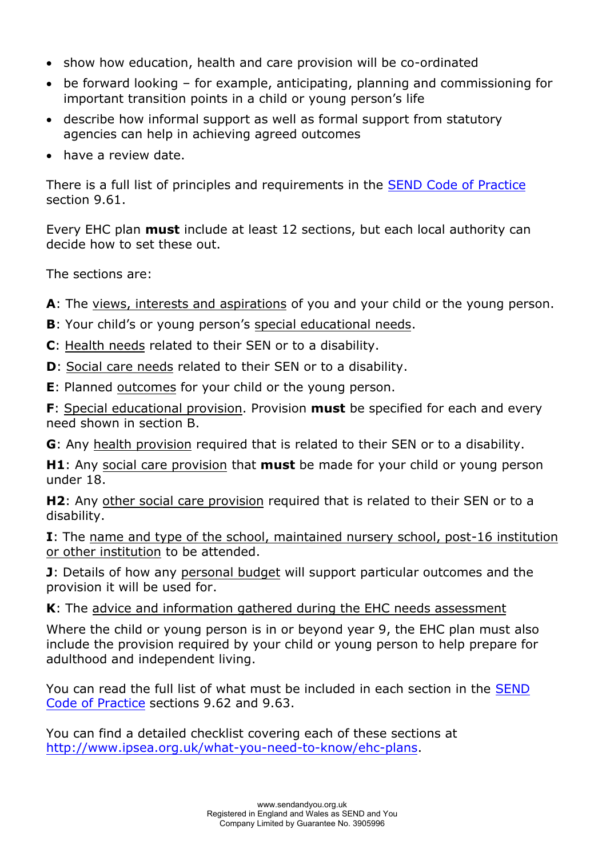- show how education, health and care provision will be co-ordinated
- be forward looking for example, anticipating, planning and commissioning for important transition points in a child or young person's life
- describe how informal support as well as formal support from statutory agencies can help in achieving agreed outcomes
- have a review date.

There is a full list of principles and requirements in the [SEND Code of Practice](https://www.gov.uk/government/publications/send-code-of-practice-0-to-25) section 9.61.

Every EHC plan **must** include at least 12 sections, but each local authority can decide how to set these out.

The sections are:

**A**: The views, interests and aspirations of you and your child or the young person.

- **B**: Your child's or young person's special educational needs.
- **C**: Health needs related to their SEN or to a disability.
- **D**: Social care needs related to their SEN or to a disability.

**E**: Planned outcomes for your child or the young person.

**F**: Special educational provision. Provision **must** be specified for each and every need shown in section B.

**G**: Any health provision required that is related to their SEN or to a disability.

**H1**: Any social care provision that **must** be made for your child or young person under 18.

**H2**: Any other social care provision required that is related to their SEN or to a disability.

**I**: The name and type of the school, maintained nursery school, post-16 institution or other institution to be attended.

**J**: Details of how any personal budget will support particular outcomes and the provision it will be used for.

**K**: The advice and information gathered during the EHC needs assessment

Where the child or young person is in or beyond year 9, the EHC plan must also include the provision required by your child or young person to help prepare for adulthood and independent living.

You can read the full list of what must be included in each section in the [SEND](https://www.gov.uk/government/publications/send-code-of-practice-0-to-25)  [Code of Practice](https://www.gov.uk/government/publications/send-code-of-practice-0-to-25) sections 9.62 and 9.63.

You can find a detailed checklist covering each of these sections at [http://www.ipsea.org.uk/what-you-need-to-know/ehc-plans.](http://www.ipsea.org.uk/what-you-need-to-know/ehc-plans)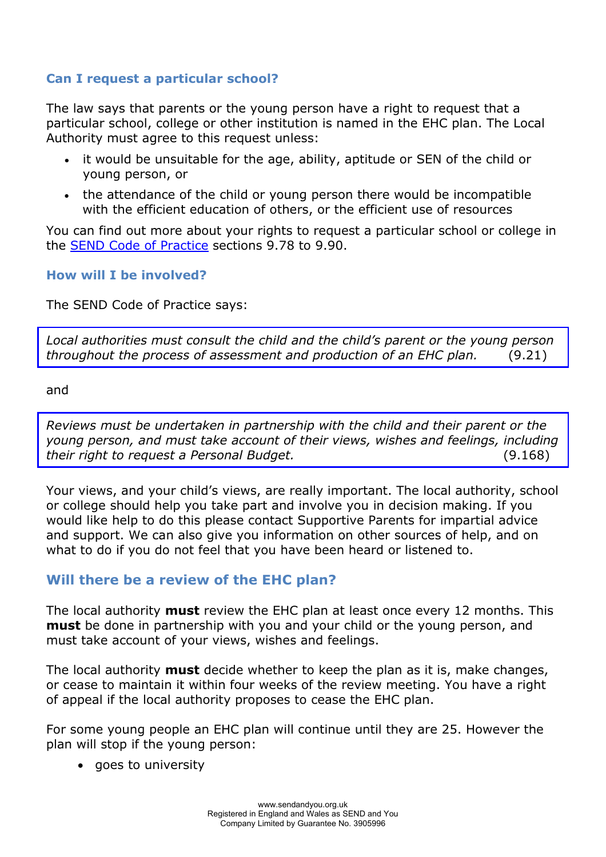### **Can I request a particular school?**

The law says that parents or the young person have a right to request that a particular school, college or other institution is named in the EHC plan. The Local Authority must agree to this request unless:

- it would be unsuitable for the age, ability, aptitude or SEN of the child or young person, or
- the attendance of the child or young person there would be incompatible with the efficient education of others, or the efficient use of resources

You can find out more about your rights to request a particular school or college in the [SEND Code of Practice](https://www.gov.uk/government/publications/send-code-of-practice-0-to-25) sections 9.78 to 9.90.

#### **How will I be involved?**

The SEND Code of Practice says:

*Local authorities must consult the child and the child's parent or the young person throughout the process of assessment and production of an EHC plan.* (9.21)

and

*Reviews must be undertaken in partnership with the child and their parent or the young person, and must take account of their views, wishes and feelings, including their right to request a Personal Budget.* (9.168)

Your views, and your child's views, are really important. The local authority, school or college should help you take part and involve you in decision making. If you would like help to do this please contact Supportive Parents for impartial advice and support. We can also give you information on other sources of help, and on what to do if you do not feel that you have been heard or listened to.

# **Will there be a review of the EHC plan?**

The local authority **must** review the EHC plan at least once every 12 months. This **must** be done in partnership with you and your child or the young person, and must take account of your views, wishes and feelings.

The local authority **must** decide whether to keep the plan as it is, make changes, or cease to maintain it within four weeks of the review meeting. You have a right of appeal if the local authority proposes to cease the EHC plan.

For some young people an EHC plan will continue until they are 25. However the plan will stop if the young person:

• goes to university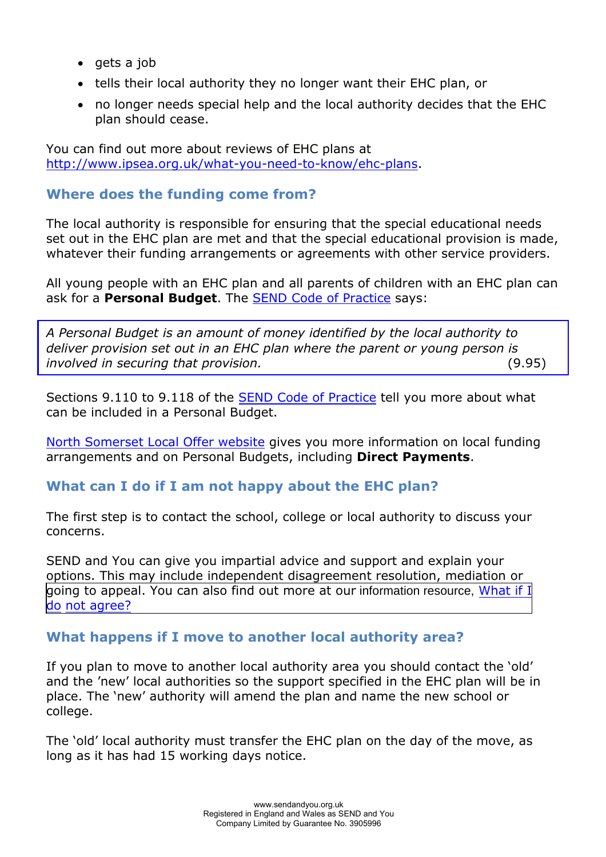- $\bullet$  gets a job
- tells their local authority they no longer want their EHC plan, or
- no longer needs special help and the local authority decides that the EHC plan should cease.

You can find out more about reviews of EHC plans at [http://www.ipsea.org.uk/what-you-need-to-know/ehc-plans.](http://www.ipsea.org.uk/what-you-need-to-know/ehc-plans)

#### **Where does the funding come from?**

The local authority is responsible for ensuring that the special educational needs set out in the EHC plan are met and that the special educational provision is made, whatever their funding arrangements or agreements with other service providers.

All young people with an EHC plan and all parents of children with an EHC plan can ask for a **Personal Budget**. The [SEND Code of Practice](https://www.gov.uk/government/publications/send-code-of-practice-0-to-25) says:

*A Personal Budget is an amount of money identified by the local authority to deliver provision set out in an EHC plan where the parent or young person is involved in securing that provision.* (9.95)

Sections 9.110 to 9.118 of the [SEND Code of Practice](https://www.gov.uk/government/publications/send-code-of-practice-0-to-25) tell you more about what can be included in a Personal Budget.

[North Somerset Local Offer website](https://northsomersetonlinedirectory.n-somerset.gov.uk/kb5/northsomerset/directory/localoffer.page?localofferchannel=0) gives you more information on local funding arrangements and on Personal Budgets, including **Direct Payments**.

#### **What can I do if I am not happy about the EHC plan?**

The first step is to contact the school, college or local authority to discuss your concerns.

[SEND and You](http://www.supportiveparents.org.uk/) can give you impartial advice and support and explain your options. This may include independent disagreement resolution, mediation or [going to appeal. You can also find out more at our](https://www.sendandyou.org.uk/wp-content/uploads/2021/08/8-What-if-I-do-not-agree-North-Somerset-newlogo.pdf) information resource, [What if I](https://www.supportiveparents.org.uk/wp-content/uploads/2020/02/8-What-if-I-do-not-agree-North-Somerset.pdf)  do [not agre](https://www.supportiveparents.org.uk/wp-content/uploads/2020/02/8-What-if-I-do-not-agree-North-Somerset.pdf)e?

#### **What happens if I move to another local authority area?**

If you plan to move to another local authority area you should contact the 'old' and the 'new' local authorities so the support specified in the EHC plan will be in place. The 'new' authority will amend the plan and name the new school or college.

The 'old' local authority must transfer the EHC plan on the day of the move, as long as it has had 15 working days notice.